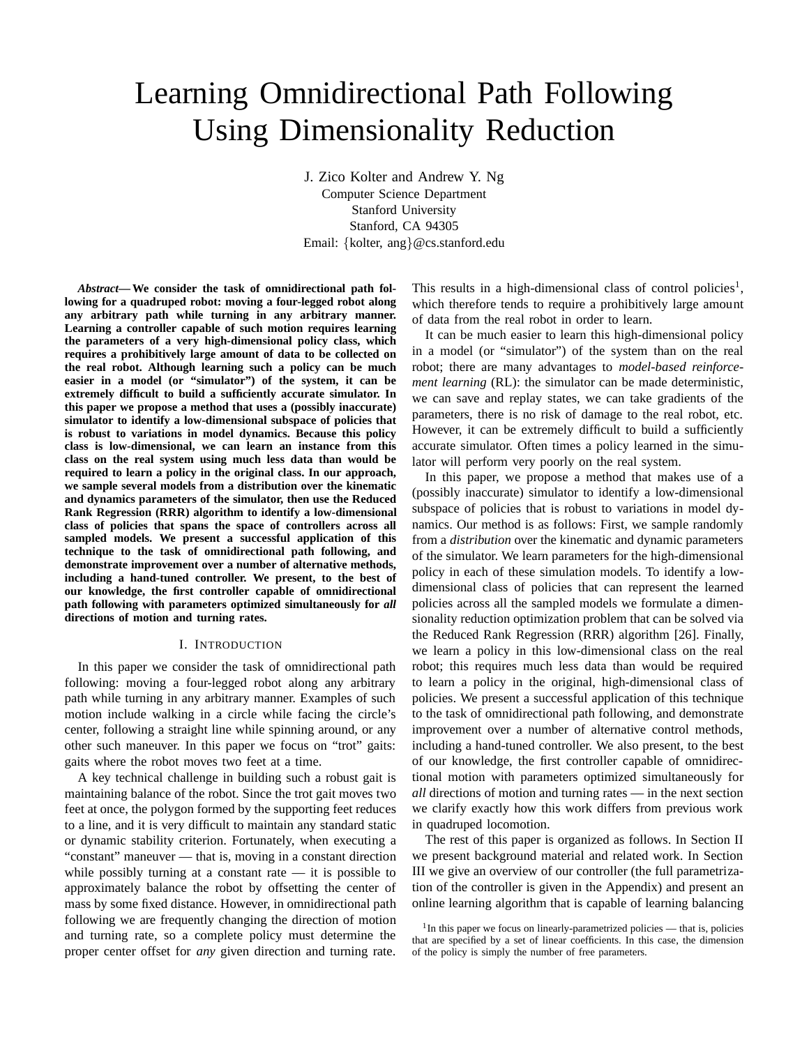# Learning Omnidirectional Path Following Using Dimensionality Reduction

J. Zico Kolter and Andrew Y. Ng Computer Science Department Stanford University Stanford, CA 94305 Email: {kolter, ang}@cs.stanford.edu

*Abstract***— We consider the task of omnidirectional path following for a quadruped robot: moving a four-legged robot along any arbitrary path while turning in any arbitrary manner. Learning a controller capable of such motion requires learning the parameters of a very high-dimensional policy class, which requires a prohibitively large amount of data to be collected on the real robot. Although learning such a policy can be much easier in a model (or "simulator") of the system, it can be extremely difficult to build a sufficiently accurate simulator. In this paper we propose a method that uses a (possibly inaccurate) simulator to identify a low-dimensional subspace of policies that is robust to variations in model dynamics. Because this policy class is low-dimensional, we can learn an instance from this class on the real system using much less data than would be required to learn a policy in the original class. In our approach, we sample several models from a distribution over the kinematic and dynamics parameters of the simulator, then use the Reduced Rank Regression (RRR) algorithm to identify a low-dimensional class of policies that spans the space of controllers across all sampled models. We present a successful application of this technique to the task of omnidirectional path following, and demonstrate improvement over a number of alternative methods, including a hand-tuned controller. We present, to the best of our knowledge, the first controller capable of omnidirectional path following with parameters optimized simultaneously for** *all* **directions of motion and turning rates.**

# I. INTRODUCTION

In this paper we consider the task of omnidirectional path following: moving a four-legged robot along any arbitrary path while turning in any arbitrary manner. Examples of such motion include walking in a circle while facing the circle's center, following a straight line while spinning around, or any other such maneuver. In this paper we focus on "trot" gaits: gaits where the robot moves two feet at a time.

A key technical challenge in building such a robust gait is maintaining balance of the robot. Since the trot gait moves two feet at once, the polygon formed by the supporting feet reduces to a line, and it is very difficult to maintain any standard static or dynamic stability criterion. Fortunately, when executing a "constant" maneuver — that is, moving in a constant direction while possibly turning at a constant rate  $-$  it is possible to approximately balance the robot by offsetting the center of mass by some fixed distance. However, in omnidirectional path following we are frequently changing the direction of motion and turning rate, so a complete policy must determine the proper center offset for *any* given direction and turning rate.

This results in a high-dimensional class of control policies<sup>1</sup>, which therefore tends to require a prohibitively large amount of data from the real robot in order to learn.

It can be much easier to learn this high-dimensional policy in a model (or "simulator") of the system than on the real robot; there are many advantages to *model-based reinforcement learning* (RL): the simulator can be made deterministic, we can save and replay states, we can take gradients of the parameters, there is no risk of damage to the real robot, etc. However, it can be extremely difficult to build a sufficiently accurate simulator. Often times a policy learned in the simulator will perform very poorly on the real system.

In this paper, we propose a method that makes use of a (possibly inaccurate) simulator to identify a low-dimensional subspace of policies that is robust to variations in model dynamics. Our method is as follows: First, we sample randomly from a *distribution* over the kinematic and dynamic parameters of the simulator. We learn parameters for the high-dimensional policy in each of these simulation models. To identify a lowdimensional class of policies that can represent the learned policies across all the sampled models we formulate a dimensionality reduction optimization problem that can be solved via the Reduced Rank Regression (RRR) algorithm [26]. Finally, we learn a policy in this low-dimensional class on the real robot; this requires much less data than would be required to learn a policy in the original, high-dimensional class of policies. We present a successful application of this technique to the task of omnidirectional path following, and demonstrate improvement over a number of alternative control methods, including a hand-tuned controller. We also present, to the best of our knowledge, the first controller capable of omnidirectional motion with parameters optimized simultaneously for *all* directions of motion and turning rates — in the next section we clarify exactly how this work differs from previous work in quadruped locomotion.

The rest of this paper is organized as follows. In Section II we present background material and related work. In Section III we give an overview of our controller (the full parametrization of the controller is given in the Appendix) and present an online learning algorithm that is capable of learning balancing

<sup>&</sup>lt;sup>1</sup>In this paper we focus on linearly-parametrized policies — that is, policies that are specified by a set of linear coefficients. In this case, the dimension of the policy is simply the number of free parameters.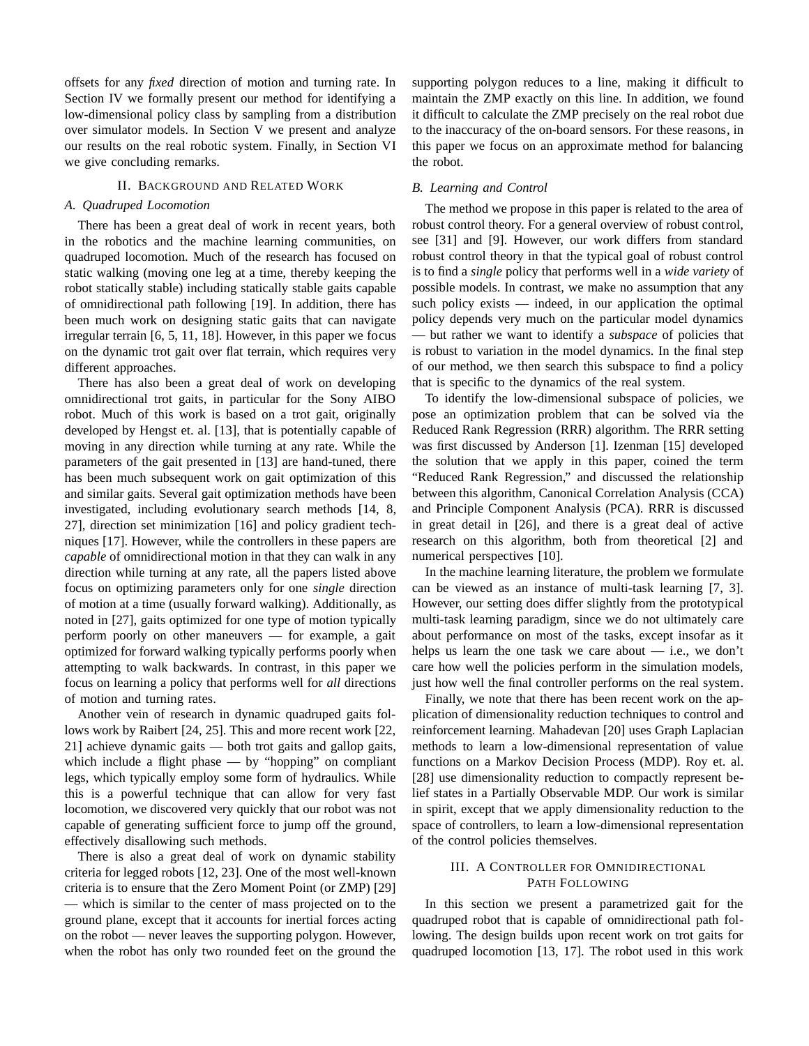offsets for any *fixed* direction of motion and turning rate. In Section IV we formally present our method for identifying a low-dimensional policy class by sampling from a distribution over simulator models. In Section V we present and analyze our results on the real robotic system. Finally, in Section VI we give concluding remarks.

# II. BACKGROUND AND RELATED WORK

# *A. Quadruped Locomotion*

There has been a great deal of work in recent years, both in the robotics and the machine learning communities, on quadruped locomotion. Much of the research has focused on static walking (moving one leg at a time, thereby keeping the robot statically stable) including statically stable gaits capable of omnidirectional path following [19]. In addition, there has been much work on designing static gaits that can navigate irregular terrain [6, 5, 11, 18]. However, in this paper we focus on the dynamic trot gait over flat terrain, which requires very different approaches.

There has also been a great deal of work on developing omnidirectional trot gaits, in particular for the Sony AIBO robot. Much of this work is based on a trot gait, originally developed by Hengst et. al. [13], that is potentially capable of moving in any direction while turning at any rate. While the parameters of the gait presented in [13] are hand-tuned, there has been much subsequent work on gait optimization of this and similar gaits. Several gait optimization methods have been investigated, including evolutionary search methods [14, 8, 27], direction set minimization [16] and policy gradient techniques [17]. However, while the controllers in these papers are *capable* of omnidirectional motion in that they can walk in any direction while turning at any rate, all the papers listed above focus on optimizing parameters only for one *single* direction of motion at a time (usually forward walking). Additionally, as noted in [27], gaits optimized for one type of motion typically perform poorly on other maneuvers — for example, a gait optimized for forward walking typically performs poorly when attempting to walk backwards. In contrast, in this paper we focus on learning a policy that performs well for *all* directions of motion and turning rates.

Another vein of research in dynamic quadruped gaits follows work by Raibert [24, 25]. This and more recent work [22, 21] achieve dynamic gaits — both trot gaits and gallop gaits, which include a flight phase — by "hopping" on compliant legs, which typically employ some form of hydraulics. While this is a powerful technique that can allow for very fast locomotion, we discovered very quickly that our robot was not capable of generating sufficient force to jump off the ground, effectively disallowing such methods.

There is also a great deal of work on dynamic stability criteria for legged robots [12, 23]. One of the most well-known criteria is to ensure that the Zero Moment Point (or ZMP) [29] — which is similar to the center of mass projected on to the ground plane, except that it accounts for inertial forces acting on the robot — never leaves the supporting polygon. However, when the robot has only two rounded feet on the ground the supporting polygon reduces to a line, making it difficult to maintain the ZMP exactly on this line. In addition, we found it difficult to calculate the ZMP precisely on the real robot due to the inaccuracy of the on-board sensors. For these reasons, in this paper we focus on an approximate method for balancing the robot.

# *B. Learning and Control*

The method we propose in this paper is related to the area of robust control theory. For a general overview of robust control, see [31] and [9]. However, our work differs from standard robust control theory in that the typical goal of robust control is to find a *single* policy that performs well in a *wide variety* of possible models. In contrast, we make no assumption that any such policy exists — indeed, in our application the optimal policy depends very much on the particular model dynamics — but rather we want to identify a *subspace* of policies that is robust to variation in the model dynamics. In the final step of our method, we then search this subspace to find a policy that is specific to the dynamics of the real system.

To identify the low-dimensional subspace of policies, we pose an optimization problem that can be solved via the Reduced Rank Regression (RRR) algorithm. The RRR setting was first discussed by Anderson [1]. Izenman [15] developed the solution that we apply in this paper, coined the term "Reduced Rank Regression," and discussed the relationship between this algorithm, Canonical Correlation Analysis (CCA) and Principle Component Analysis (PCA). RRR is discussed in great detail in [26], and there is a great deal of active research on this algorithm, both from theoretical [2] and numerical perspectives [10].

In the machine learning literature, the problem we formulate can be viewed as an instance of multi-task learning [7, 3]. However, our setting does differ slightly from the prototypical multi-task learning paradigm, since we do not ultimately care about performance on most of the tasks, except insofar as it helps us learn the one task we care about  $-$  i.e., we don't care how well the policies perform in the simulation models, just how well the final controller performs on the real system.

Finally, we note that there has been recent work on the application of dimensionality reduction techniques to control and reinforcement learning. Mahadevan [20] uses Graph Laplacian methods to learn a low-dimensional representation of value functions on a Markov Decision Process (MDP). Roy et. al. [28] use dimensionality reduction to compactly represent belief states in a Partially Observable MDP. Our work is similar in spirit, except that we apply dimensionality reduction to the space of controllers, to learn a low-dimensional representation of the control policies themselves.

# III. A CONTROLLER FOR OMNIDIRECTIONAL PATH FOLLOWING

In this section we present a parametrized gait for the quadruped robot that is capable of omnidirectional path following. The design builds upon recent work on trot gaits for quadruped locomotion [13, 17]. The robot used in this work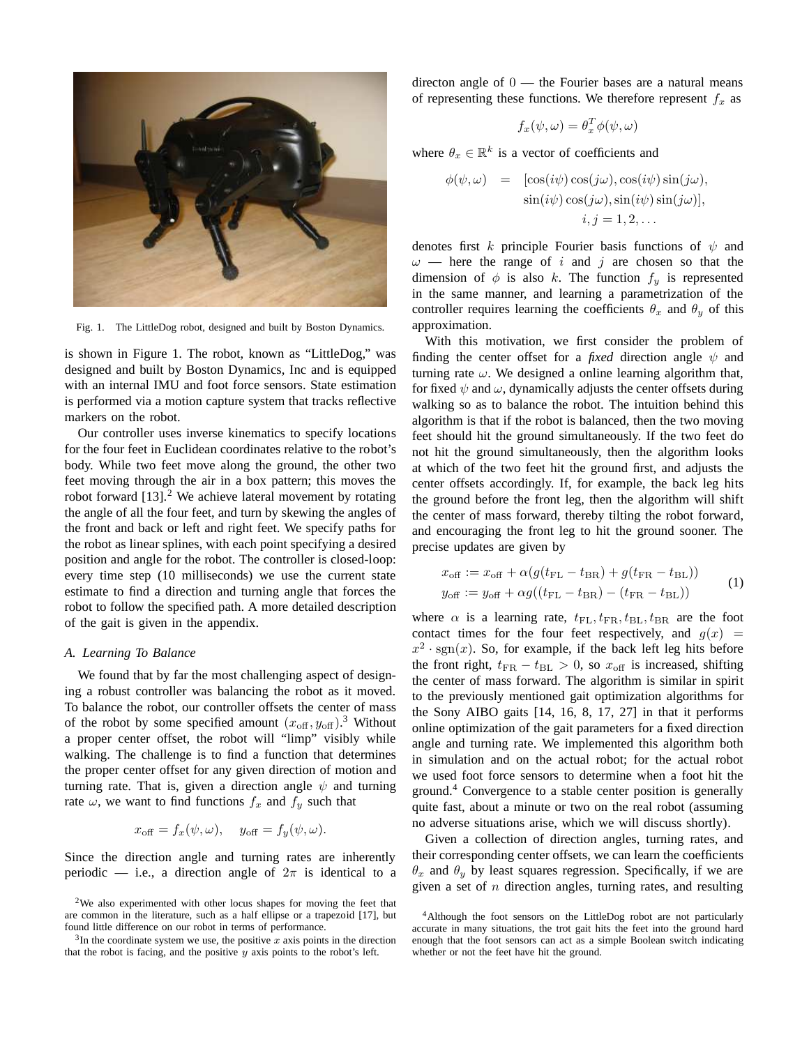

Fig. 1. The LittleDog robot, designed and built by Boston Dynamics.

is shown in Figure 1. The robot, known as "LittleDog," was designed and built by Boston Dynamics, Inc and is equipped with an internal IMU and foot force sensors. State estimation is performed via a motion capture system that tracks reflective markers on the robot.

Our controller uses inverse kinematics to specify locations for the four feet in Euclidean coordinates relative to the robot's body. While two feet move along the ground, the other two feet moving through the air in a box pattern; this moves the robot forward  $[13]$ .<sup>2</sup> We achieve lateral movement by rotating the angle of all the four feet, and turn by skewing the angles of the front and back or left and right feet. We specify paths for the robot as linear splines, with each point specifying a desired position and angle for the robot. The controller is closed-loop: every time step (10 milliseconds) we use the current state estimate to find a direction and turning angle that forces the robot to follow the specified path. A more detailed description of the gait is given in the appendix.

### *A. Learning To Balance*

We found that by far the most challenging aspect of designing a robust controller was balancing the robot as it moved. To balance the robot, our controller offsets the center of mass of the robot by some specified amount  $(x_{\text{off}}, y_{\text{off}})$ .<sup>3</sup> Without a proper center offset, the robot will "limp" visibly while walking. The challenge is to find a function that determines the proper center offset for any given direction of motion and turning rate. That is, given a direction angle  $\psi$  and turning rate  $\omega$ , we want to find functions  $f_x$  and  $f_y$  such that

$$
x_{\text{off}} = f_x(\psi, \omega), \quad y_{\text{off}} = f_y(\psi, \omega).
$$

Since the direction angle and turning rates are inherently periodic — i.e., a direction angle of  $2\pi$  is identical to a

directon angle of  $0$  — the Fourier bases are a natural means of representing these functions. We therefore represent  $f_x$  as

$$
f_x(\psi, \omega) = \theta_x^T \phi(\psi, \omega)
$$

where  $\theta_x \in \mathbb{R}^k$  is a vector of coefficients and

$$
\phi(\psi, \omega) = [\cos(i\psi)\cos(j\omega), \cos(i\psi)\sin(j\omega),\nsin(i\psi)\cos(j\omega), \sin(i\psi)\sin(j\omega)],\ni, j = 1, 2, ...
$$

denotes first k principle Fourier basis functions of  $\psi$  and  $\omega$  — here the range of i and j are chosen so that the dimension of  $\phi$  is also k. The function  $f_y$  is represented in the same manner, and learning a parametrization of the controller requires learning the coefficients  $\theta_x$  and  $\theta_y$  of this approximation.

With this motivation, we first consider the problem of finding the center offset for a *fixed* direction angle  $\psi$  and turning rate  $\omega$ . We designed a online learning algorithm that, for fixed  $\psi$  and  $\omega$ , dynamically adjusts the center offsets during walking so as to balance the robot. The intuition behind this algorithm is that if the robot is balanced, then the two moving feet should hit the ground simultaneously. If the two feet do not hit the ground simultaneously, then the algorithm looks at which of the two feet hit the ground first, and adjusts the center offsets accordingly. If, for example, the back leg hits the ground before the front leg, then the algorithm will shift the center of mass forward, thereby tilting the robot forward, and encouraging the front leg to hit the ground sooner. The precise updates are given by

$$
x_{\text{off}} := x_{\text{off}} + \alpha (g(t_{\text{FL}} - t_{\text{BR}}) + g(t_{\text{FR}} - t_{\text{BL}}))
$$
  

$$
y_{\text{off}} := y_{\text{off}} + \alpha g((t_{\text{FL}} - t_{\text{BR}}) - (t_{\text{FR}} - t_{\text{BL}}))
$$
 (1)

where  $\alpha$  is a learning rate,  $t_{FL}$ ,  $t_{FR}$ ,  $t_{BL}$ ,  $t_{BR}$  are the foot contact times for the four feet respectively, and  $g(x)$  =  $x^2 \cdot \text{sgn}(x)$ . So, for example, if the back left leg hits before the front right,  $t_{\text{FR}} - t_{\text{BL}} > 0$ , so  $x_{\text{off}}$  is increased, shifting the center of mass forward. The algorithm is similar in spirit to the previously mentioned gait optimization algorithms for the Sony AIBO gaits [14, 16, 8, 17, 27] in that it performs online optimization of the gait parameters for a fixed direction angle and turning rate. We implemented this algorithm both in simulation and on the actual robot; for the actual robot we used foot force sensors to determine when a foot hit the ground.<sup>4</sup> Convergence to a stable center position is generally quite fast, about a minute or two on the real robot (assuming no adverse situations arise, which we will discuss shortly).

Given a collection of direction angles, turning rates, and their corresponding center offsets, we can learn the coefficients  $\theta_x$  and  $\theta_y$  by least squares regression. Specifically, if we are given a set of  $n$  direction angles, turning rates, and resulting

<sup>&</sup>lt;sup>2</sup>We also experimented with other locus shapes for moving the feet that are common in the literature, such as a half ellipse or a trapezoid [17], but found little difference on our robot in terms of performance.

 $3$ In the coordinate system we use, the positive x axis points in the direction that the robot is facing, and the positive  $y$  axis points to the robot's left.

<sup>&</sup>lt;sup>4</sup>Although the foot sensors on the LittleDog robot are not particularly accurate in many situations, the trot gait hits the feet into the ground hard enough that the foot sensors can act as a simple Boolean switch indicating whether or not the feet have hit the ground.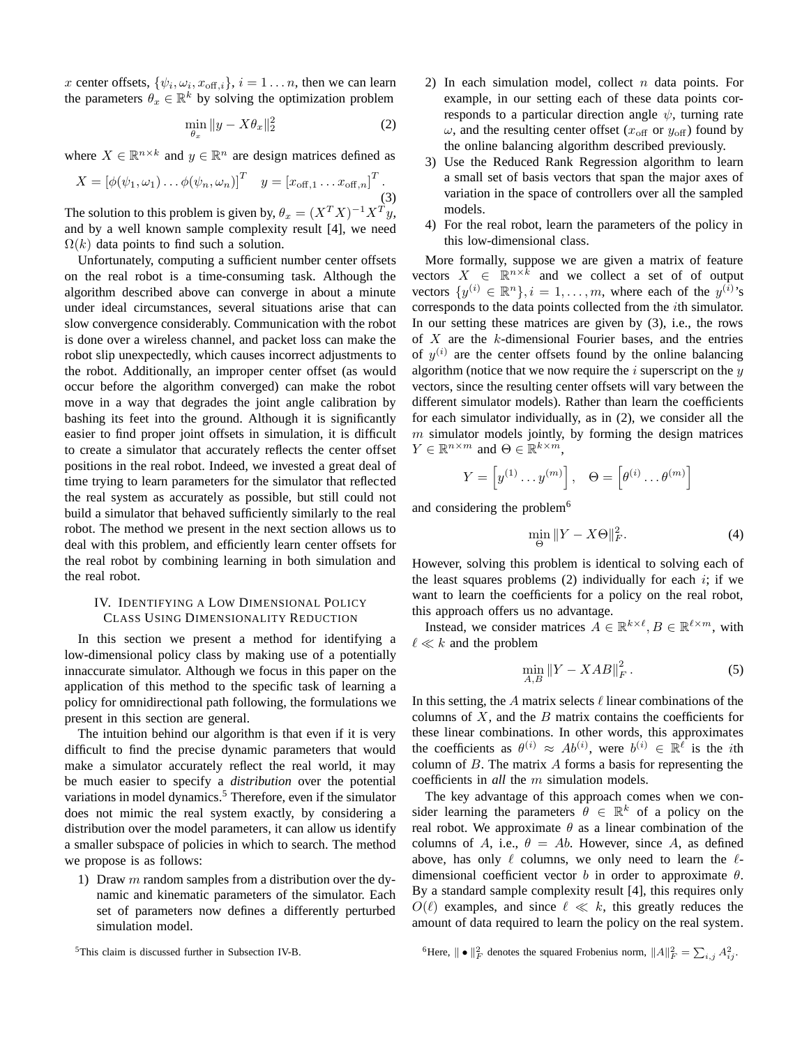x center offsets,  $\{\psi_i, \omega_i, x_{\text{off},i}\}, i = 1 \dots n$ , then we can learn the parameters  $\theta_x \in \mathbb{R}^k$  by solving the optimization problem

$$
\min_{\theta_x} \|y - X\theta_x\|_2^2 \tag{2}
$$

where  $X \in \mathbb{R}^{n \times k}$  and  $y \in \mathbb{R}^n$  are design matrices defined as

$$
X = \left[\phi(\psi_1, \omega_1) \dots \phi(\psi_n, \omega_n)\right]^T \quad y = \left[x_{\text{off},1} \dots x_{\text{off},n}\right]^T.
$$
\n(3)

The solution to this problem is given by,  $\theta_x = (X^T X)^{-1} X^T y$ , and by a well known sample complexity result [4], we need  $\Omega(k)$  data points to find such a solution.

Unfortunately, computing a sufficient number center offsets on the real robot is a time-consuming task. Although the algorithm described above can converge in about a minute under ideal circumstances, several situations arise that can slow convergence considerably. Communication with the robot is done over a wireless channel, and packet loss can make the robot slip unexpectedly, which causes incorrect adjustments to the robot. Additionally, an improper center offset (as would occur before the algorithm converged) can make the robot move in a way that degrades the joint angle calibration by bashing its feet into the ground. Although it is significantly easier to find proper joint offsets in simulation, it is difficult to create a simulator that accurately reflects the center offset positions in the real robot. Indeed, we invested a great deal of time trying to learn parameters for the simulator that reflected the real system as accurately as possible, but still could not build a simulator that behaved sufficiently similarly to the real robot. The method we present in the next section allows us to deal with this problem, and efficiently learn center offsets for the real robot by combining learning in both simulation and the real robot.

# IV. IDENTIFYING A LOW DIMENSIONAL POLICY CLASS USING DIMENSIONALITY REDUCTION

In this section we present a method for identifying a low-dimensional policy class by making use of a potentially innaccurate simulator. Although we focus in this paper on the application of this method to the specific task of learning a policy for omnidirectional path following, the formulations we present in this section are general.

The intuition behind our algorithm is that even if it is very difficult to find the precise dynamic parameters that would make a simulator accurately reflect the real world, it may be much easier to specify a *distribution* over the potential variations in model dynamics.<sup>5</sup> Therefore, even if the simulator does not mimic the real system exactly, by considering a distribution over the model parameters, it can allow us identify a smaller subspace of policies in which to search. The method we propose is as follows:

1) Draw  $m$  random samples from a distribution over the dynamic and kinematic parameters of the simulator. Each set of parameters now defines a differently perturbed simulation model.

- 2) In each simulation model, collect  $n$  data points. For example, in our setting each of these data points corresponds to a particular direction angle  $\psi$ , turning rate  $\omega$ , and the resulting center offset ( $x_{\text{off}}$  or  $y_{\text{off}}$ ) found by the online balancing algorithm described previously.
- 3) Use the Reduced Rank Regression algorithm to learn a small set of basis vectors that span the major axes of variation in the space of controllers over all the sampled models.
- 4) For the real robot, learn the parameters of the policy in this low-dimensional class.

More formally, suppose we are given a matrix of feature vectors  $X \in \mathbb{R}^{n \times k}$  and we collect a set of of output vectors  $\{y^{(i)} \in \mathbb{R}^n\}, i = 1, \dots, m$ , where each of the  $y^{(\tilde{i})}$ 's corresponds to the data points collected from the ith simulator. In our setting these matrices are given by (3), i.e., the rows of  $X$  are the k-dimensional Fourier bases, and the entries of  $y^{(i)}$  are the center offsets found by the online balancing algorithm (notice that we now require the  $i$  superscript on the  $y$ vectors, since the resulting center offsets will vary between the different simulator models). Rather than learn the coefficients for each simulator individually, as in (2), we consider all the  $m$  simulator models jointly, by forming the design matrices  $Y \in \mathbb{R}^{n \times m}$  and  $\Theta \in \mathbb{R}^{k \times m}$ ,

$$
Y = \left[ y^{(1)} \dots y^{(m)} \right], \quad \Theta = \left[ \theta^{(i)} \dots \theta^{(m)} \right]
$$

and considering the problem<sup>6</sup>

$$
\min_{\Theta} \|Y - X\Theta\|_F^2. \tag{4}
$$

However, solving this problem is identical to solving each of the least squares problems (2) individually for each  $i$ ; if we want to learn the coefficients for a policy on the real robot, this approach offers us no advantage.

Instead, we consider matrices  $A \in \mathbb{R}^{k \times \ell}, B \in \mathbb{R}^{\ell \times m}$ , with  $\ell \ll k$  and the problem

$$
\min_{A,B} \|Y - XAB\|_F^2. \tag{5}
$$

In this setting, the A matrix selects  $\ell$  linear combinations of the columns of  $X$ , and the  $B$  matrix contains the coefficients for these linear combinations. In other words, this approximates the coefficients as  $\theta^{(i)} \approx Ab^{(i)}$ , were  $b^{(i)} \in \mathbb{R}^{\ell}$  is the *i*th column of  $B$ . The matrix  $A$  forms a basis for representing the coefficients in *all* the m simulation models.

The key advantage of this approach comes when we consider learning the parameters  $\theta \in \mathbb{R}^k$  of a policy on the real robot. We approximate  $\theta$  as a linear combination of the columns of A, i.e.,  $\theta = Ab$ . However, since A, as defined above, has only  $\ell$  columns, we only need to learn the  $\ell$ dimensional coefficient vector b in order to approximate  $\theta$ . By a standard sample complexity result [4], this requires only  $O(\ell)$  examples, and since  $\ell \ll k$ , this greatly reduces the amount of data required to learn the policy on the real system.

<sup>6</sup>Here,  $\|\bullet\|^2_F$  denotes the squared Frobenius norm,  $||A||_F^2 = \sum_{i,j} A_{ij}^2$ .

<sup>5</sup>This claim is discussed further in Subsection IV-B.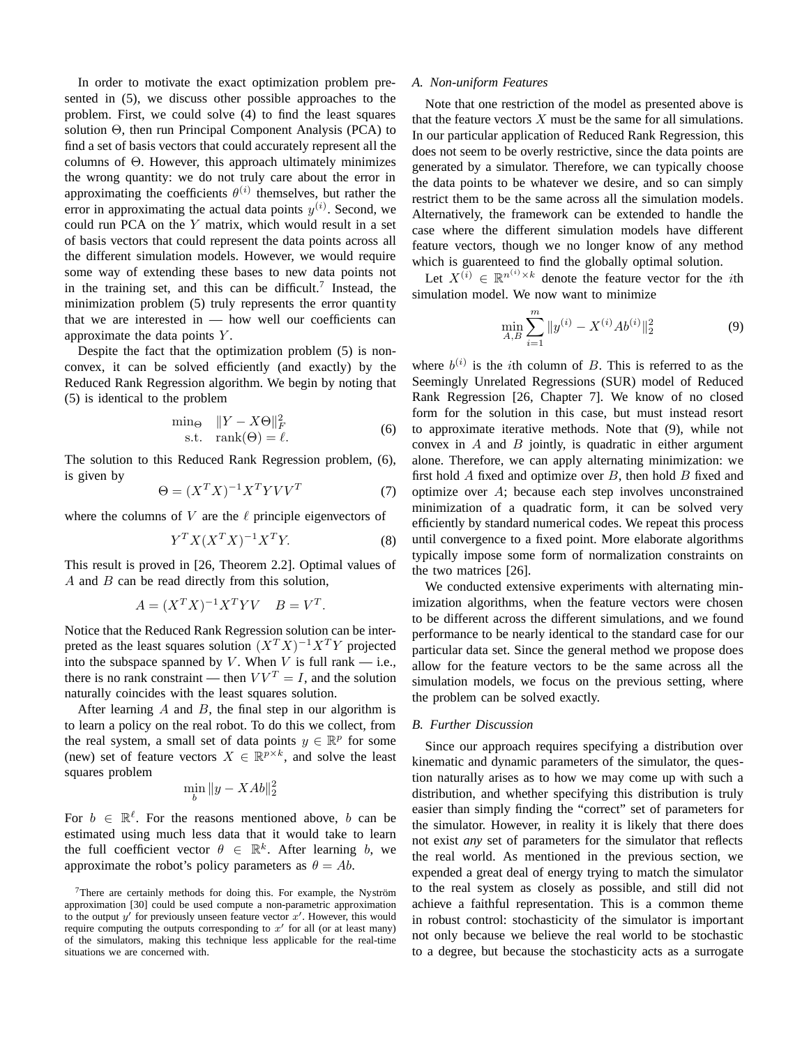In order to motivate the exact optimization problem presented in (5), we discuss other possible approaches to the problem. First, we could solve (4) to find the least squares solution Θ, then run Principal Component Analysis (PCA) to find a set of basis vectors that could accurately represent all the columns of Θ. However, this approach ultimately minimizes the wrong quantity: we do not truly care about the error in approximating the coefficients  $\theta^{(i)}$  themselves, but rather the error in approximating the actual data points  $y^{(i)}$ . Second, we could run PCA on the Y matrix, which would result in a set of basis vectors that could represent the data points across all the different simulation models. However, we would require some way of extending these bases to new data points not in the training set, and this can be difficult.<sup>7</sup> Instead, the minimization problem (5) truly represents the error quantity that we are interested in — how well our coefficients can approximate the data points Y .

Despite the fact that the optimization problem (5) is nonconvex, it can be solved efficiently (and exactly) by the Reduced Rank Regression algorithm. We begin by noting that (5) is identical to the problem

$$
\min_{\Theta} \quad \|Y - X\Theta\|_F^2
$$
  
s.t. 
$$
\text{rank}(\Theta) = \ell.
$$
 (6)

The solution to this Reduced Rank Regression problem, (6), is given by

$$
\Theta = (X^T X)^{-1} X^T Y V V^T \tag{7}
$$

where the columns of V are the  $\ell$  principle eigenvectors of

$$
Y^T X (X^T X)^{-1} X^T Y. \tag{8}
$$

.

This result is proved in [26, Theorem 2.2]. Optimal values of  $A$  and  $B$  can be read directly from this solution,

$$
A = (X^T X)^{-1} X^T Y V \quad B = V^T
$$

Notice that the Reduced Rank Regression solution can be interpreted as the least squares solution  $(X^TX)^{-1}X^TY$  projected into the subspace spanned by V. When V is full rank — i.e., there is no rank constraint — then  $VV^T = I$ , and the solution naturally coincides with the least squares solution.

After learning  $A$  and  $B$ , the final step in our algorithm is to learn a policy on the real robot. To do this we collect, from the real system, a small set of data points  $y \in \mathbb{R}^p$  for some (new) set of feature vectors  $X \in \mathbb{R}^{p \times k}$ , and solve the least squares problem

$$
\min_b \|y - XAb\|_2^2
$$

For  $b \in \mathbb{R}^{\ell}$ . For the reasons mentioned above, b can be estimated using much less data that it would take to learn the full coefficient vector  $\theta \in \mathbb{R}^k$ . After learning b, we approximate the robot's policy parameters as  $\theta = Ab$ .

#### *A. Non-uniform Features*

Note that one restriction of the model as presented above is that the feature vectors  $X$  must be the same for all simulations. In our particular application of Reduced Rank Regression, this does not seem to be overly restrictive, since the data points are generated by a simulator. Therefore, we can typically choose the data points to be whatever we desire, and so can simply restrict them to be the same across all the simulation models. Alternatively, the framework can be extended to handle the case where the different simulation models have different feature vectors, though we no longer know of any method which is guarenteed to find the globally optimal solution.

Let  $X^{(i)} \in \mathbb{R}^{n^{(i)} \times k}$  denote the feature vector for the *i*th simulation model. We now want to minimize

$$
\min_{A,B} \sum_{i=1}^{m} \|y^{(i)} - X^{(i)}Ab^{(i)}\|_2^2 \tag{9}
$$

where  $b^{(i)}$  is the *i*th column of B. This is referred to as the Seemingly Unrelated Regressions (SUR) model of Reduced Rank Regression [26, Chapter 7]. We know of no closed form for the solution in this case, but must instead resort to approximate iterative methods. Note that (9), while not convex in  $A$  and  $B$  jointly, is quadratic in either argument alone. Therefore, we can apply alternating minimization: we first hold  $A$  fixed and optimize over  $B$ , then hold  $B$  fixed and optimize over A; because each step involves unconstrained minimization of a quadratic form, it can be solved very efficiently by standard numerical codes. We repeat this process until convergence to a fixed point. More elaborate algorithms typically impose some form of normalization constraints on the two matrices [26].

We conducted extensive experiments with alternating minimization algorithms, when the feature vectors were chosen to be different across the different simulations, and we found performance to be nearly identical to the standard case for our particular data set. Since the general method we propose does allow for the feature vectors to be the same across all the simulation models, we focus on the previous setting, where the problem can be solved exactly.

# *B. Further Discussion*

Since our approach requires specifying a distribution over kinematic and dynamic parameters of the simulator, the question naturally arises as to how we may come up with such a distribution, and whether specifying this distribution is truly easier than simply finding the "correct" set of parameters for the simulator. However, in reality it is likely that there does not exist *any* set of parameters for the simulator that reflects the real world. As mentioned in the previous section, we expended a great deal of energy trying to match the simulator to the real system as closely as possible, and still did not achieve a faithful representation. This is a common theme in robust control: stochasticity of the simulator is important not only because we believe the real world to be stochastic to a degree, but because the stochasticity acts as a surrogate

 $7$ There are certainly methods for doing this. For example, the Nyström approximation [30] could be used compute a non-parametric approximation to the output y' for previously unseen feature vector  $x'$ . However, this would require computing the outputs corresponding to  $x'$  for all (or at least many) of the simulators, making this technique less applicable for the real-time situations we are concerned with.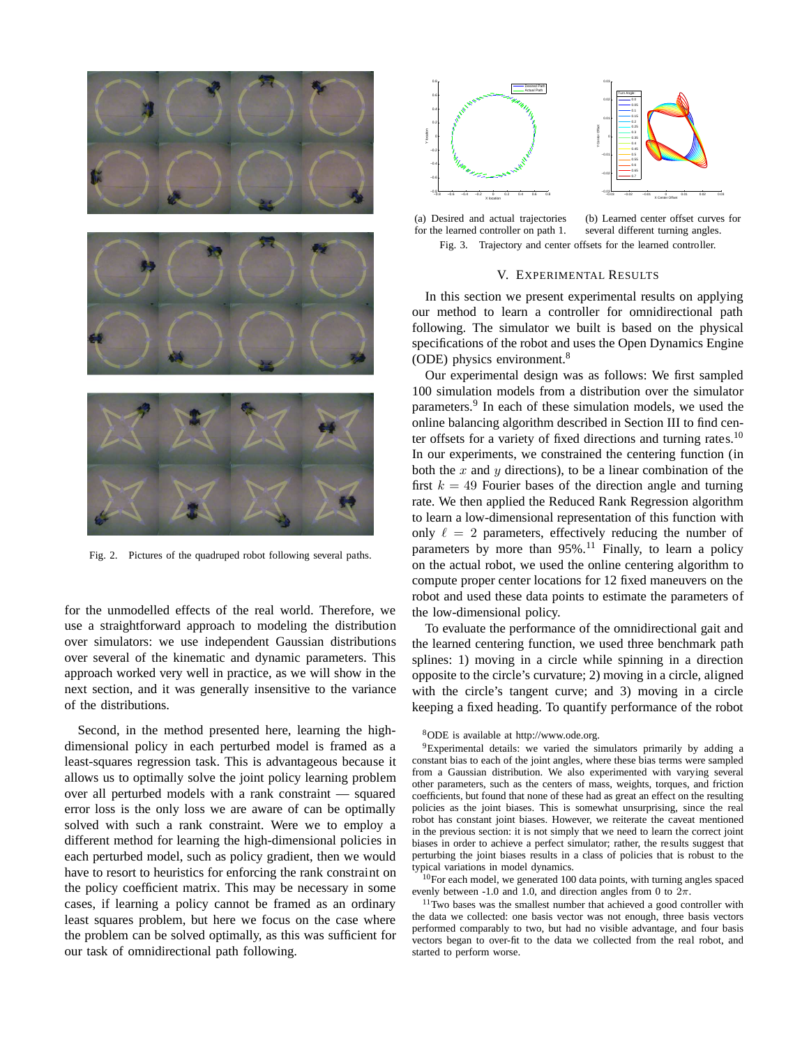

Fig. 2. Pictures of the quadruped robot following several paths.

for the unmodelled effects of the real world. Therefore, we use a straightforward approach to modeling the distribution over simulators: we use independent Gaussian distributions over several of the kinematic and dynamic parameters. This approach worked very well in practice, as we will show in the next section, and it was generally insensitive to the variance of the distributions.

Second, in the method presented here, learning the highdimensional policy in each perturbed model is framed as a least-squares regression task. This is advantageous because it allows us to optimally solve the joint policy learning problem over all perturbed models with a rank constraint — squared error loss is the only loss we are aware of can be optimally solved with such a rank constraint. Were we to employ a different method for learning the high-dimensional policies in each perturbed model, such as policy gradient, then we would have to resort to heuristics for enforcing the rank constraint on the policy coefficient matrix. This may be necessary in some cases, if learning a policy cannot be framed as an ordinary least squares problem, but here we focus on the case where the problem can be solved optimally, as this was sufficient for our task of omnidirectional path following.

![](_page_5_Figure_4.jpeg)

(a) Desired and actual trajectories for the learned controller on path 1. (b) Learned center offset curves for several different turning angles. Fig. 3. Trajectory and center offsets for the learned controller.

# V. EXPERIMENTAL RESULTS

In this section we present experimental results on applying our method to learn a controller for omnidirectional path following. The simulator we built is based on the physical specifications of the robot and uses the Open Dynamics Engine (ODE) physics environment.<sup>8</sup>

Our experimental design was as follows: We first sampled 100 simulation models from a distribution over the simulator parameters.<sup>9</sup> In each of these simulation models, we used the online balancing algorithm described in Section III to find center offsets for a variety of fixed directions and turning rates.<sup>10</sup> In our experiments, we constrained the centering function (in both the  $x$  and  $y$  directions), to be a linear combination of the first  $k = 49$  Fourier bases of the direction angle and turning rate. We then applied the Reduced Rank Regression algorithm to learn a low-dimensional representation of this function with only  $\ell = 2$  parameters, effectively reducing the number of parameters by more than  $95\%$ .<sup>11</sup> Finally, to learn a policy on the actual robot, we used the online centering algorithm to compute proper center locations for 12 fixed maneuvers on the robot and used these data points to estimate the parameters of the low-dimensional policy.

To evaluate the performance of the omnidirectional gait and the learned centering function, we used three benchmark path splines: 1) moving in a circle while spinning in a direction opposite to the circle's curvature; 2) moving in a circle, aligned with the circle's tangent curve; and 3) moving in a circle keeping a fixed heading. To quantify performance of the robot

<sup>9</sup>Experimental details: we varied the simulators primarily by adding a constant bias to each of the joint angles, where these bias terms were sampled from a Gaussian distribution. We also experimented with varying several other parameters, such as the centers of mass, weights, torques, and friction coefficients, but found that none of these had as great an effect on the resulting policies as the joint biases. This is somewhat unsurprising, since the real robot has constant joint biases. However, we reiterate the caveat mentioned in the previous section: it is not simply that we need to learn the correct joint biases in order to achieve a perfect simulator; rather, the results suggest that perturbing the joint biases results in a class of policies that is robust to the typical variations in model dynamics.

 $10$ For each model, we generated 100 data points, with turning angles spaced evenly between -1.0 and 1.0, and direction angles from 0 to  $2\pi$ .

<sup>11</sup>Two bases was the smallest number that achieved a good controller with the data we collected: one basis vector was not enough, three basis vectors performed comparably to two, but had no visible advantage, and four basis vectors began to over-fit to the data we collected from the real robot, and started to perform worse.

<sup>8</sup>ODE is available at http://www.ode.org.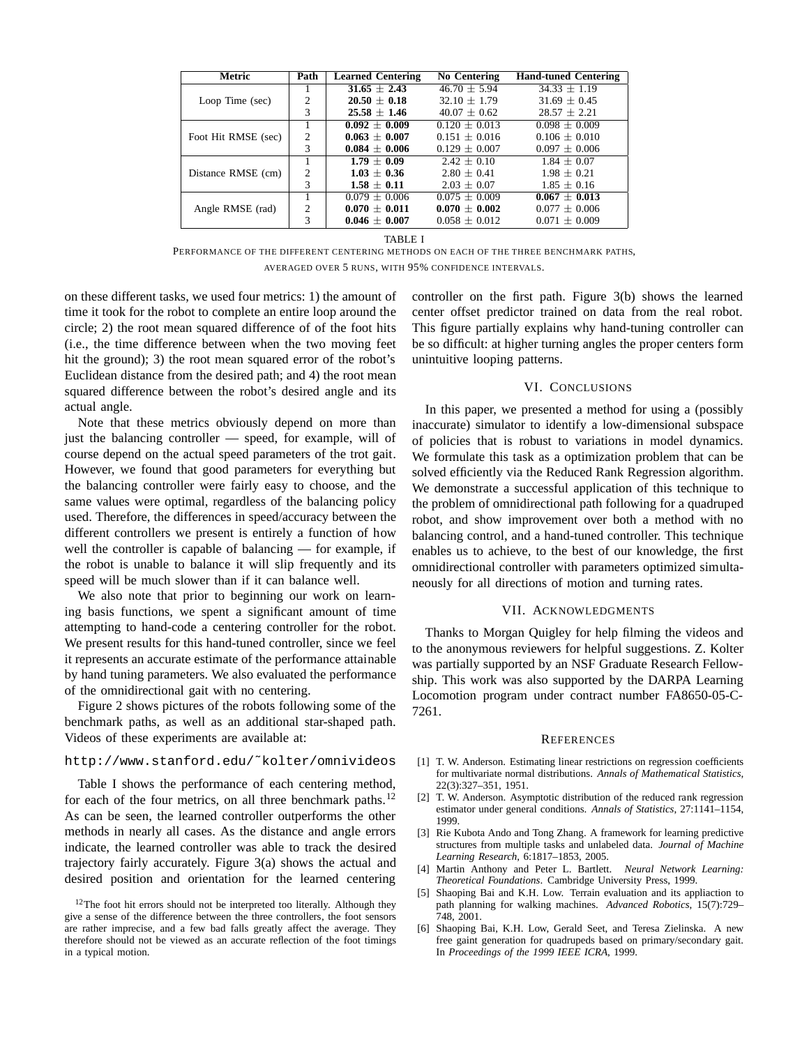| <b>Metric</b>       | Path           | <b>Learned Centering</b> | No Centering      | <b>Hand-tuned Centering</b> |
|---------------------|----------------|--------------------------|-------------------|-----------------------------|
| Loop Time (sec)     |                | $31.65 + 2.43$           | $46.70 \pm 5.94$  | $34.33 \pm 1.19$            |
|                     | $\mathfrak{D}$ | $20.50 + 0.18$           | $32.10 + 1.79$    | $31.69 + 0.45$              |
|                     | 3              | $25.58 + 1.46$           | $40.07 + 0.62$    | $28.57 + 2.21$              |
| Foot Hit RMSE (sec) |                | $0.092 + 0.009$          | $0.120 + 0.013$   | $0.098 \pm 0.009$           |
|                     | 2              | $0.063 + 0.007$          | $0.151 + 0.016$   | $0.106 \pm 0.010$           |
|                     | 3              | $0.084 + 0.006$          | $0.129 + 0.007$   | $0.097 + 0.006$             |
| Distance RMSE (cm)  |                | $1.79 \pm 0.09$          | $2.42 \pm 0.10$   | $1.84 + 0.07$               |
|                     | $\mathfrak{D}$ | $1.03 + 0.36$            | $2.80 + 0.41$     | $1.98 + 0.21$               |
|                     | 3              | $1.58 \pm 0.11$          | $2.03 + 0.07$     | $1.85 \pm 0.16$             |
| Angle RMSE (rad)    |                | $0.079 \pm 0.006$        | $0.075 \pm 0.009$ | $0.067 + 0.013$             |
|                     | $\mathfrak{D}$ | $0.070 + 0.011$          | $0.070 + 0.002$   | $0.077 + 0.006$             |
|                     | 3              | $0.046 \pm 0.007$        | $0.058 + 0.012$   | $0.071 \pm 0.009$           |

TABLE I

PERFORMANCE OF THE DIFFERENT CENTERING METHODS ON EACH OF THE THREE BENCHMARK PATHS, AVERAGED OVER 5 RUNS, WITH 95% CONFIDENCE INTERVALS.

on these different tasks, we used four metrics: 1) the amount of time it took for the robot to complete an entire loop around the circle; 2) the root mean squared difference of of the foot hits (i.e., the time difference between when the two moving feet hit the ground); 3) the root mean squared error of the robot's Euclidean distance from the desired path; and 4) the root mean squared difference between the robot's desired angle and its actual angle.

Note that these metrics obviously depend on more than just the balancing controller — speed, for example, will of course depend on the actual speed parameters of the trot gait. However, we found that good parameters for everything but the balancing controller were fairly easy to choose, and the same values were optimal, regardless of the balancing policy used. Therefore, the differences in speed/accuracy between the different controllers we present is entirely a function of how well the controller is capable of balancing — for example, if the robot is unable to balance it will slip frequently and its speed will be much slower than if it can balance well.

We also note that prior to beginning our work on learning basis functions, we spent a significant amount of time attempting to hand-code a centering controller for the robot. We present results for this hand-tuned controller, since we feel it represents an accurate estimate of the performance attainable by hand tuning parameters. We also evaluated the performance of the omnidirectional gait with no centering.

Figure 2 shows pictures of the robots following some of the benchmark paths, as well as an additional star-shaped path. Videos of these experiments are available at:

# http://www.stanford.edu/˜kolter/omnivideos

Table I shows the performance of each centering method, for each of the four metrics, on all three benchmark paths.<sup>12</sup> As can be seen, the learned controller outperforms the other methods in nearly all cases. As the distance and angle errors indicate, the learned controller was able to track the desired trajectory fairly accurately. Figure 3(a) shows the actual and desired position and orientation for the learned centering controller on the first path. Figure 3(b) shows the learned center offset predictor trained on data from the real robot. This figure partially explains why hand-tuning controller can be so difficult: at higher turning angles the proper centers form unintuitive looping patterns.

# VI. CONCLUSIONS

In this paper, we presented a method for using a (possibly inaccurate) simulator to identify a low-dimensional subspace of policies that is robust to variations in model dynamics. We formulate this task as a optimization problem that can be solved efficiently via the Reduced Rank Regression algorithm. We demonstrate a successful application of this technique to the problem of omnidirectional path following for a quadruped robot, and show improvement over both a method with no balancing control, and a hand-tuned controller. This technique enables us to achieve, to the best of our knowledge, the first omnidirectional controller with parameters optimized simultaneously for all directions of motion and turning rates.

# VII. ACKNOWLEDGMENTS

Thanks to Morgan Quigley for help filming the videos and to the anonymous reviewers for helpful suggestions. Z. Kolter was partially supported by an NSF Graduate Research Fellowship. This work was also supported by the DARPA Learning Locomotion program under contract number FA8650-05-C-7261.

#### **REFERENCES**

- [1] T. W. Anderson. Estimating linear restrictions on regression coefficients for multivariate normal distributions. *Annals of Mathematical Statistics*, 22(3):327–351, 1951.
- [2] T. W. Anderson. Asymptotic distribution of the reduced rank regression estimator under general conditions. *Annals of Statistics*, 27:1141–1154, 1999.
- [3] Rie Kubota Ando and Tong Zhang. A framework for learning predictive structures from multiple tasks and unlabeled data. *Journal of Machine Learning Research*, 6:1817–1853, 2005.
- [4] Martin Anthony and Peter L. Bartlett. *Neural Network Learning: Theoretical Foundations*. Cambridge University Press, 1999.
- [5] Shaoping Bai and K.H. Low. Terrain evaluation and its appliaction to path planning for walking machines. *Advanced Robotics*, 15(7):729– 748, 2001.
- [6] Shaoping Bai, K.H. Low, Gerald Seet, and Teresa Zielinska. A new free gaint generation for quadrupeds based on primary/secondary gait. In *Proceedings of the 1999 IEEE ICRA*, 1999.

<sup>&</sup>lt;sup>12</sup>The foot hit errors should not be interpreted too literally. Although they give a sense of the difference between the three controllers, the foot sensors are rather imprecise, and a few bad falls greatly affect the average. They therefore should not be viewed as an accurate reflection of the foot timings in a typical motion.